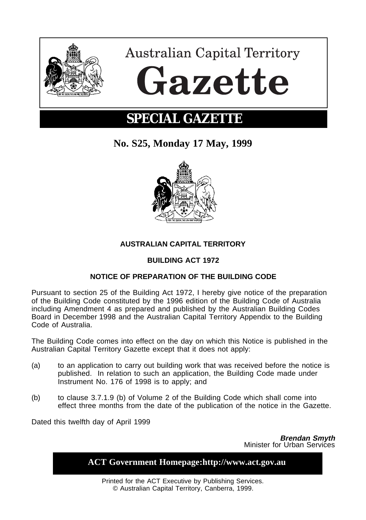

**Australian Capital Territory** Gazette

# **SPECIAL GAZETTE**

**No. S25, Monday 17 May, 1999**



## **AUSTRALIAN CAPITAL TERRITORY**

### **BUILDING ACT 1972**

#### **NOTICE OF PREPARATION OF THE BUILDING CODE**

Pursuant to section 25 of the Building Act 1972, I hereby give notice of the preparation of the Building Code constituted by the 1996 edition of the Building Code of Australia including Amendment 4 as prepared and published by the Australian Building Codes Board in December 1998 and the Australian Capital Territory Appendix to the Building Code of Australia.

The Building Code comes into effect on the day on which this Notice is published in the Australian Capital Territory Gazette except that it does not apply:

- (a) to an application to carry out building work that was received before the notice is published. In relation to such an application, the Building Code made under Instrument No. 176 of 1998 is to apply; and
- (b) to clause 3.7.1.9 (b) of Volume 2 of the Building Code which shall come into effect three months from the date of the publication of the notice in the Gazette.

Dated this twelfth day of April 1999

**Brendan Smyth** Minister for Urban Services

| <b>ACT Government Homepage:http://www.act.gov.au</b>                                                     |
|----------------------------------------------------------------------------------------------------------|
| Printed for the ACT Executive by Publishing Services.<br>© Australian Capital Territory, Canberra, 1999. |